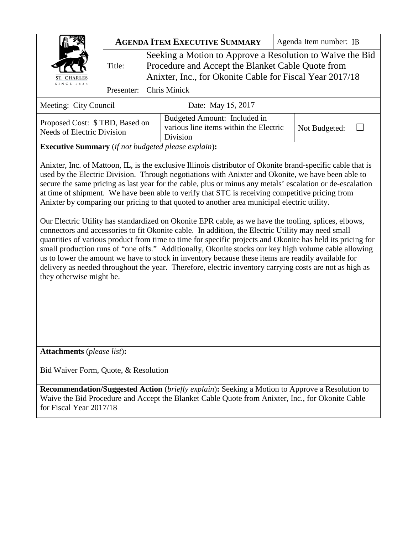| ST. CHARLES<br>SINCE 1834 | <b>AGENDA ITEM EXECUTIVE SUMMARY</b> |                                                                                                                                                                            | Agenda Item number: IB |  |
|---------------------------|--------------------------------------|----------------------------------------------------------------------------------------------------------------------------------------------------------------------------|------------------------|--|
|                           | Title:                               | Seeking a Motion to Approve a Resolution to Waive the Bid<br>Procedure and Accept the Blanket Cable Quote from<br>Anixter, Inc., for Okonite Cable for Fiscal Year 2017/18 |                        |  |
|                           |                                      | Presenter:   Chris Minick                                                                                                                                                  |                        |  |
| Meeting: City Council     |                                      | Date: May 15, 2017                                                                                                                                                         |                        |  |

| Proposed Cost: \$TBD, Based on | Budgeted Amount: Included in           |               |  |
|--------------------------------|----------------------------------------|---------------|--|
| Needs of Electric Division     | various line items within the Electric | Not Budgeted: |  |
|                                | Division                               |               |  |

**Executive Summary** (*if not budgeted please explain*)**:**

Anixter, Inc. of Mattoon, IL, is the exclusive Illinois distributor of Okonite brand-specific cable that is used by the Electric Division. Through negotiations with Anixter and Okonite, we have been able to secure the same pricing as last year for the cable, plus or minus any metals' escalation or de-escalation at time of shipment. We have been able to verify that STC is receiving competitive pricing from Anixter by comparing our pricing to that quoted to another area municipal electric utility.

Our Electric Utility has standardized on Okonite EPR cable, as we have the tooling, splices, elbows, connectors and accessories to fit Okonite cable. In addition, the Electric Utility may need small quantities of various product from time to time for specific projects and Okonite has held its pricing for small production runs of "one offs." Additionally, Okonite stocks our key high volume cable allowing us to lower the amount we have to stock in inventory because these items are readily available for delivery as needed throughout the year. Therefore, electric inventory carrying costs are not as high as they otherwise might be.

**Attachments** (*please list*)**:** 

Bid Waiver Form, Quote, & Resolution

**Recommendation/Suggested Action** (*briefly explain*)**:** Seeking a Motion to Approve a Resolution to Waive the Bid Procedure and Accept the Blanket Cable Quote from Anixter, Inc., for Okonite Cable for Fiscal Year 2017/18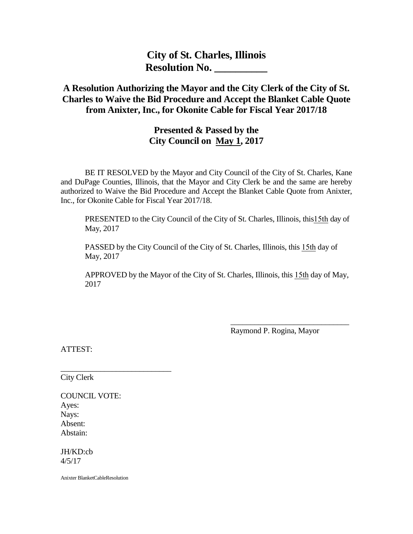**City of St. Charles, Illinois Resolution No. \_\_\_\_\_\_\_\_\_\_**

# **A Resolution Authorizing the Mayor and the City Clerk of the City of St. Charles to Waive the Bid Procedure and Accept the Blanket Cable Quote from Anixter, Inc., for Okonite Cable for Fiscal Year 2017/18**

## **Presented & Passed by the City Council on May 1, 2017**

BE IT RESOLVED by the Mayor and City Council of the City of St. Charles, Kane and DuPage Counties, Illinois, that the Mayor and City Clerk be and the same are hereby authorized to Waive the Bid Procedure and Accept the Blanket Cable Quote from Anixter, Inc., for Okonite Cable for Fiscal Year 2017/18.

PRESENTED to the City Council of the City of St. Charles, Illinois, this15th day of May, 2017

PASSED by the City Council of the City of St. Charles, Illinois, this 15th day of May, 2017

APPROVED by the Mayor of the City of St. Charles, Illinois, this 15th day of May, 2017

Raymond P. Rogina, Mayor

\_\_\_\_\_\_\_\_\_\_\_\_\_\_\_\_\_\_\_\_\_\_\_\_\_\_\_\_\_\_

ATTEST:

City Clerk

COUNCIL VOTE: Ayes: Nays: Absent: Abstain:

\_\_\_\_\_\_\_\_\_\_\_\_\_\_\_\_\_\_\_\_\_\_\_\_\_\_\_\_

JH/KD:cb 4/5/17

Anixter BlanketCableResolution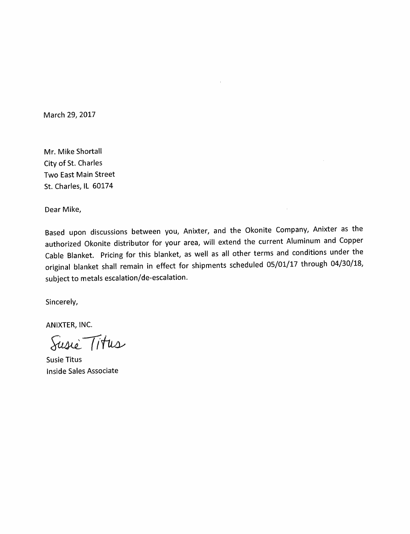March 29, 2017

Mr. Mike Shortall City of St. Charles Two East Main Street St. Charles, IL 60174

Dear Mike,

Based upon discussions between you, Anixter, and the Okonite Company, Anixter as the authorized Okonite distributor for your area, will extend the current Aluminum and Copper Cable Blanket. Pricing for this blanket, as well as all other terms and conditions under the original blanket shall remain in effect for shipments scheduled 05/01/17 through 04/30/18, subject to metals escalation/de-escalation.

Sincerely,

ANIXTER, INC.

Susie Titus

**Susie Titus** Inside Sales Associate